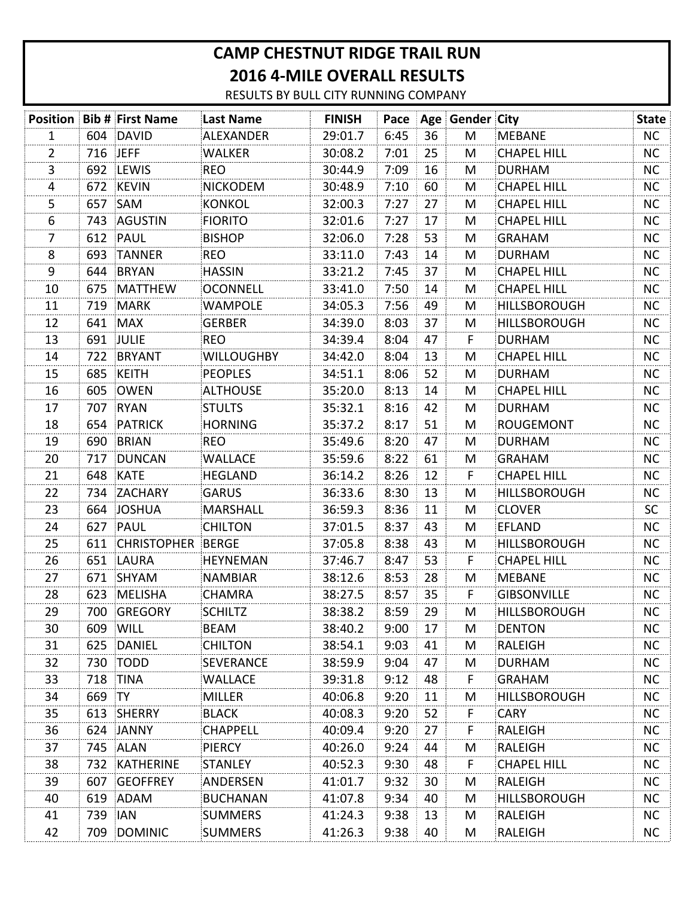## **CAMP CHESTNUT RIDGE TRAIL RUN 2016 4-MILE OVERALL RESULTS**

RESULTS BY BULL CITY RUNNING COMPANY

|                |          | <b>Position Bib # First Name</b> | <b>Last Name</b>  | <b>FINISH</b> |      |    | Pace   Age   Gender   City |                     | <b>State</b> |
|----------------|----------|----------------------------------|-------------------|---------------|------|----|----------------------------|---------------------|--------------|
| $\mathbf{1}$   |          | 604 DAVID                        | ALEXANDER         | 29:01.7       | 6:45 | 36 | M                          | <b>MEBANE</b>       | NC.          |
| 2              | 716 JEFF |                                  | <b>WALKER</b>     | 30:08.2       | 7:01 | 25 | M                          | <b>CHAPEL HILL</b>  | <b>NC</b>    |
| 3              |          | 692 LEWIS                        | <b>REO</b>        | 30:44.9       | 7:09 | 16 | M                          | <b>DURHAM</b>       | <b>NC</b>    |
| 4              | 672      | <b>KEVIN</b>                     | <b>NICKODEM</b>   | 30:48.9       | 7:10 | 60 | M                          | <b>CHAPEL HILL</b>  | <b>NC</b>    |
| 5              | 657      | SAM                              | <b>KONKOL</b>     | 32:00.3       | 7:27 | 27 | M                          | <b>CHAPEL HILL</b>  | <b>NC</b>    |
| 6              | 743      | AGUSTIN                          | <b>FIORITO</b>    | 32:01.6       | 7:27 | 17 | M                          | <b>CHAPEL HILL</b>  | <b>NC</b>    |
| $\overline{7}$ | 612      | PAUL                             | <b>BISHOP</b>     | 32:06.0       | 7:28 | 53 | M                          | <b>GRAHAM</b>       | <b>NC</b>    |
| 8              | 693      | TANNER                           | <b>REO</b>        | 33:11.0       | 7:43 | 14 | M                          | <b>DURHAM</b>       | <b>NC</b>    |
| $9\,$          | 644      | BRYAN                            | <b>HASSIN</b>     | 33:21.2       | 7:45 | 37 | M                          | <b>CHAPEL HILL</b>  | NC           |
| 10             | 675      | MATTHEW                          | <b>OCONNELL</b>   | 33:41.0       | 7:50 | 14 | M                          | <b>CHAPEL HILL</b>  | NC           |
| 11             | 719      | MARK                             | <b>WAMPOLE</b>    | 34:05.3       | 7:56 | 49 | M                          | <b>HILLSBOROUGH</b> | <b>NC</b>    |
| 12             | 641      | <b>MAX</b>                       | <b>GERBER</b>     | 34:39.0       | 8:03 | 37 | M                          | <b>HILLSBOROUGH</b> | NC           |
| 13             |          | 691 JULIE                        | <b>REO</b>        | 34:39.4       | 8:04 | 47 | F                          | <b>DURHAM</b>       | <b>NC</b>    |
| 14             | 722      | <b>BRYANT</b>                    | <b>WILLOUGHBY</b> | 34:42.0       | 8:04 | 13 | M                          | <b>CHAPEL HILL</b>  | <b>NC</b>    |
| 15             | 685      | KEITH                            | <b>PEOPLES</b>    | 34:51.1       | 8:06 | 52 | M                          | <b>DURHAM</b>       | <b>NC</b>    |
| 16             | 605      | <b>OWEN</b>                      | <b>ALTHOUSE</b>   | 35:20.0       | 8:13 | 14 | M                          | <b>CHAPEL HILL</b>  | <b>NC</b>    |
| 17             | 707      | <b>RYAN</b>                      | <b>STULTS</b>     | 35:32.1       | 8:16 | 42 | M                          | <b>DURHAM</b>       | NC           |
| 18             | 654      | PATRICK                          | <b>HORNING</b>    | 35:37.2       | 8:17 | 51 | M                          | <b>ROUGEMONT</b>    | NC           |
| 19             | 690      | BRIAN                            | <b>REO</b>        | 35:49.6       | 8:20 | 47 | M                          | <b>DURHAM</b>       | <b>NC</b>    |
| 20             | 717      | DUNCAN                           | <b>WALLACE</b>    | 35:59.6       | 8:22 | 61 | M                          | <b>GRAHAM</b>       | NC           |
| 21             | 648      | KATE                             | <b>HEGLAND</b>    | 36:14.2       | 8:26 | 12 | F                          | <b>CHAPEL HILL</b>  | <b>NC</b>    |
| 22             | 734      | ZACHARY                          | <b>GARUS</b>      | 36:33.6       | 8:30 | 13 | M                          | <b>HILLSBOROUGH</b> | <b>NC</b>    |
| 23             |          | 664 JOSHUA                       | <b>MARSHALL</b>   | 36:59.3       | 8:36 | 11 | M                          | <b>CLOVER</b>       | <b>SC</b>    |
| 24             | 627      | PAUL                             | <b>CHILTON</b>    | 37:01.5       | 8:37 | 43 | M                          | <b>EFLAND</b>       | <b>NC</b>    |
| 25             | 611      | <b>CHRISTOPHER</b>               | BERGE             | 37:05.8       | 8:38 | 43 | M                          | <b>HILLSBOROUGH</b> | NC.          |
| 26             | 651      | LAURA                            | <b>HEYNEMAN</b>   | 37:46.7       | 8:47 | 53 | F                          | <b>CHAPEL HILL</b>  | NC           |
| 27             | 671      | SHYAM                            | NAMBIAR           | 38:12.6       | 8:53 | 28 | M                          | <b>MEBANE</b>       | <b>NC</b>    |
| 28             | 623      | MELISHA                          | <b>CHAMRA</b>     | 38:27.5       | 8:57 | 35 | F                          | <b>GIBSONVILLE</b>  | NC.          |
| 29             |          | 700 GREGORY                      | <b>SCHILTZ</b>    | 38:38.2       | 8:59 | 29 | M                          | <b>HILLSBOROUGH</b> | <b>NC</b>    |
| 30             | 609      | WILL                             | <b>BEAM</b>       | 38:40.2       | 9:00 | 17 | M                          | <b>DENTON</b>       | <b>NC</b>    |
| 31             | 625      | DANIEL                           | <b>CHILTON</b>    | 38:54.1       | 9:03 | 41 | M                          | RALEIGH             | NC           |
| 32             | 730      | TODD                             | SEVERANCE         | 38:59.9       | 9:04 | 47 | M                          | <b>DURHAM</b>       | <b>NC</b>    |
| 33             | 718      | TINA                             | <b>WALLACE</b>    | 39:31.8       | 9:12 | 48 | F                          | <b>GRAHAM</b>       | <b>NC</b>    |
| 34             | 669      | <b>TY</b>                        | <b>MILLER</b>     | 40:06.8       | 9:20 | 11 | M                          | <b>HILLSBOROUGH</b> | <b>NC</b>    |
| 35             | 613      | SHERRY                           | <b>BLACK</b>      | 40:08.3       | 9:20 | 52 | F                          | <b>CARY</b>         | <b>NC</b>    |
| 36             | 624      | JANNY                            | <b>CHAPPELL</b>   | 40:09.4       | 9:20 | 27 | F                          | RALEIGH             | NC.          |
| 37             | 745      | ALAN                             | <b>PIERCY</b>     | 40:26.0       | 9:24 | 44 | M                          | RALEIGH             | <b>NC</b>    |
| 38             | 732      | KATHERINE                        | STANLEY           | 40:52.3       | 9:30 | 48 | F                          | <b>CHAPEL HILL</b>  | <b>NC</b>    |
| 39             | 607      | GEOFFREY                         | ANDERSEN          | 41:01.7       | 9:32 | 30 | M                          | RALEIGH             | <b>NC</b>    |
| 40             | 619      | ADAM                             | <b>BUCHANAN</b>   | 41:07.8       | 9:34 | 40 | M                          | <b>HILLSBOROUGH</b> | <b>NC</b>    |
| 41             | 739      | <b>IAN</b>                       | <b>SUMMERS</b>    | 41:24.3       | 9:38 | 13 | M                          | RALEIGH             | <b>NC</b>    |
| 42             | 709      | DOMINIC                          | <b>SUMMERS</b>    | 41:26.3       | 9:38 | 40 | M                          | RALEIGH             | NC           |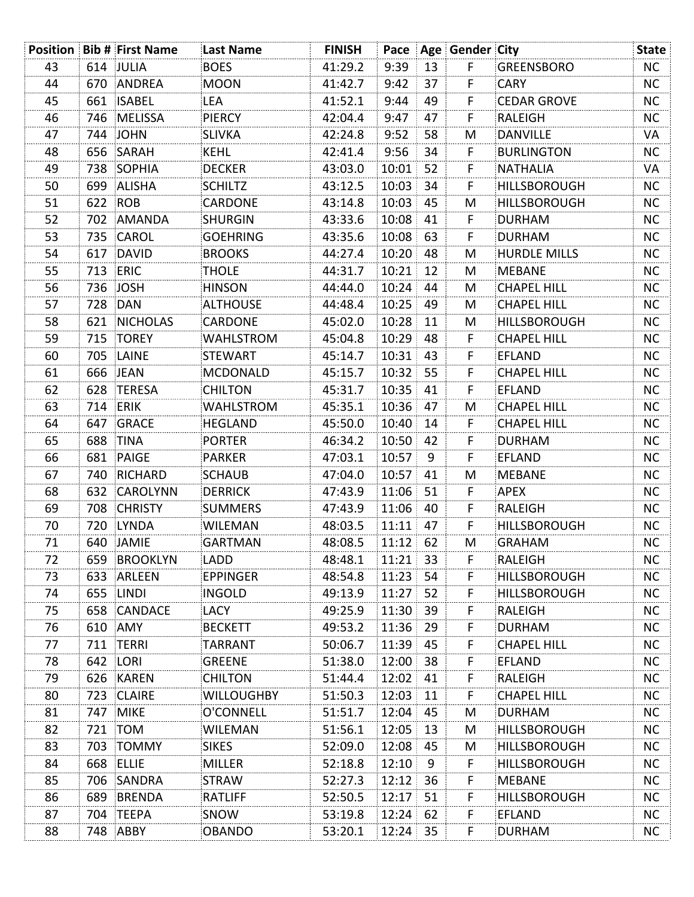|    |         | <b>Position Bib # First Name</b> | Last Name         | <b>FINISH</b> |       |    | Pace   Age   Gender   City |                     | <b>State</b> |
|----|---------|----------------------------------|-------------------|---------------|-------|----|----------------------------|---------------------|--------------|
| 43 |         | 614 JULIA                        | <b>BOES</b>       | 41:29.2       | 9:39  | 13 | F                          | GREENSBORO          | NC           |
| 44 | 670     | ANDREA                           | <b>MOON</b>       | 41:42.7       | 9:42  | 37 | F                          | <b>CARY</b>         | <b>NC</b>    |
| 45 | 661     | <b>ISABEL</b>                    | LEA               | 41:52.1       | 9:44  | 49 | F                          | <b>CEDAR GROVE</b>  | <b>NC</b>    |
| 46 | 746     | <b>MELISSA</b>                   | PIERCY            | 42:04.4       | 9:47  | 47 | F                          | RALEIGH             | <b>NC</b>    |
| 47 |         | 744 JOHN                         | <b>SLIVKA</b>     | 42:24.8       | 9:52  | 58 | M                          | <b>DANVILLE</b>     | VA           |
| 48 | 656     | SARAH                            | <b>KEHL</b>       | 42:41.4       | 9:56  | 34 | F                          | <b>BURLINGTON</b>   | <b>NC</b>    |
| 49 | 738     | SOPHIA                           | <b>DECKER</b>     | 43:03.0       | 10:01 | 52 | F                          | <b>NATHALIA</b>     | VA           |
| 50 | 699     | ALISHA                           | <b>SCHILTZ</b>    | 43:12.5       | 10:03 | 34 | F                          | <b>HILLSBOROUGH</b> | <b>NC</b>    |
| 51 | 622 ROB |                                  | <b>CARDONE</b>    | 43:14.8       | 10:03 | 45 | M                          | <b>HILLSBOROUGH</b> | <b>NC</b>    |
| 52 | 702     | AMANDA                           | SHURGIN           | 43:33.6       | 10:08 | 41 | F                          | <b>DURHAM</b>       | NC.          |
| 53 | 735     | CAROL                            | <b>GOEHRING</b>   | 43:35.6       | 10:08 | 63 | F                          | <b>DURHAM</b>       | <b>NC</b>    |
| 54 | 617     | DAVID                            | <b>BROOKS</b>     | 44:27.4       | 10:20 | 48 | M                          | <b>HURDLE MILLS</b> | <b>NC</b>    |
| 55 |         | 713 ERIC                         | <b>THOLE</b>      | 44:31.7       | 10:21 | 12 | M                          | <b>MEBANE</b>       | NC.          |
| 56 | 736     | <b>JOSH</b>                      | <b>HINSON</b>     | 44:44.0       | 10:24 | 44 | M                          | <b>CHAPEL HILL</b>  | <b>NC</b>    |
| 57 | 728     | DAN                              | <b>ALTHOUSE</b>   | 44:48.4       | 10:25 | 49 | M                          | <b>CHAPEL HILL</b>  | <b>NC</b>    |
| 58 | 621     | <b>NICHOLAS</b>                  | <b>CARDONE</b>    | 45:02.0       | 10:28 | 11 | M                          | <b>HILLSBOROUGH</b> | NC.          |
| 59 |         | 715 TOREY                        | <b>WAHLSTROM</b>  | 45:04.8       | 10:29 | 48 | F                          | <b>CHAPEL HILL</b>  | <b>NC</b>    |
| 60 | 705     | LAINE                            | STEWART           | 45:14.7       | 10:31 | 43 | F                          | <b>EFLAND</b>       | NC.          |
| 61 |         | 666 JEAN                         | MCDONALD          | 45:15.7       | 10:32 | 55 | F                          | <b>CHAPEL HILL</b>  | <b>NC</b>    |
| 62 | 628     | <b>TERESA</b>                    | <b>CHILTON</b>    | 45:31.7       | 10:35 | 41 | F                          | <b>EFLAND</b>       | <b>NC</b>    |
| 63 |         | 714 ERIK                         | <b>WAHLSTROM</b>  | 45:35.1       | 10:36 | 47 | M                          | <b>CHAPEL HILL</b>  | NC.          |
| 64 | 647     | <b>GRACE</b>                     | HEGLAND           | 45:50.0       | 10:40 | 14 | F                          | <b>CHAPEL HILL</b>  | <b>NC</b>    |
| 65 | 688     | TINA                             | PORTER            | 46:34.2       | 10:50 | 42 | F                          | <b>DURHAM</b>       | <b>NC</b>    |
| 66 | 681     | PAIGE                            | PARKER            | 47:03.1       | 10:57 | 9  | F                          | <b>EFLAND</b>       | NC.          |
| 67 | 740     | RICHARD                          | SCHAUB            | 47:04.0       | 10:57 | 41 | M                          | <b>MEBANE</b>       | NC.          |
| 68 | 632     | CAROLYNN                         | <b>DERRICK</b>    | 47:43.9       | 11:06 | 51 | F                          | <b>APEX</b>         | NC.          |
| 69 | 708     | <b>CHRISTY</b>                   | <b>SUMMERS</b>    | 47:43.9       | 11:06 | 40 | F                          | RALEIGH             | <b>NC</b>    |
| 70 | 720     | <b>LYNDA</b>                     | WILEMAN           | 48:03.5       | 11:11 | 47 | F                          | <b>HILLSBOROUGH</b> | <b>NC</b>    |
| 71 |         | 640 JAMIE                        | <b>GARTMAN</b>    | 48:08.5       | 11:12 | 62 | M                          | <b>GRAHAM</b>       | NC           |
| 72 | 659     | BROOKLYN                         | LADD              | 48:48.1       | 11:21 | 33 | F.                         | RALEIGH             | <b>NC</b>    |
| 73 | 633     | ARLEEN                           | EPPINGER          | 48:54.8       | 11:23 | 54 | F                          | HILLSBOROUGH        | <b>NC</b>    |
| 74 | 655     | LINDI                            | <b>INGOLD</b>     | 49:13.9       | 11:27 | 52 | F                          | <b>HILLSBOROUGH</b> | NC.          |
| 75 | 658     | CANDACE                          | LACY              | 49:25.9       | 11:30 | 39 | F                          | RALEIGH             | <b>NC</b>    |
| 76 | 610     | AMY                              | <b>BECKETT</b>    | 49:53.2       | 11:36 | 29 | F.                         | <b>DURHAM</b>       | <b>NC</b>    |
| 77 | 711     | TERRI                            | TARRANT           | 50:06.7       | 11:39 | 45 | F                          | <b>CHAPEL HILL</b>  | <b>NC</b>    |
| 78 | 642     | LORI                             | <b>GREENE</b>     | 51:38.0       | 12:00 | 38 | F                          | <b>EFLAND</b>       | <b>NC</b>    |
| 79 | 626     | KAREN                            | <b>CHILTON</b>    | 51:44.4       | 12:02 | 41 | F                          | RALEIGH             | NC.          |
| 80 | 723     | CLAIRE                           | <b>WILLOUGHBY</b> | 51:50.3       | 12:03 | 11 | F                          | <b>CHAPEL HILL</b>  | <b>NC</b>    |
| 81 | 747     | <b>MIKE</b>                      | O'CONNELL         | 51:51.7       | 12:04 | 45 | M                          | <b>DURHAM</b>       | <b>NC</b>    |
| 82 | 721     | <b>TOM</b>                       | <b>WILEMAN</b>    | 51:56.1       | 12:05 | 13 | M                          | <b>HILLSBOROUGH</b> | NC.          |
| 83 | 703     | TOMMY                            | <b>SIKES</b>      | 52:09.0       | 12:08 | 45 | M                          | HILLSBOROUGH        | <b>NC</b>    |
| 84 | 668     | ELLIE                            | MILLER            | 52:18.8       | 12:10 | 9  | F                          | <b>HILLSBOROUGH</b> | NC.          |
| 85 | 706     | SANDRA                           | STRAW             | 52:27.3       | 12:12 | 36 | F                          | <b>MEBANE</b>       | NC.          |
| 86 | 689     | BRENDA                           | <b>RATLIFF</b>    | 52:50.5       | 12:17 | 51 | F                          | <b>HILLSBOROUGH</b> | <b>NC</b>    |
| 87 | 704     | TEEPA                            | SNOW              | 53:19.8       | 12:24 | 62 | F                          | <b>EFLAND</b>       | NC           |
| 88 |         | 748 ABBY                         | OBANDO            | 53:20.1       | 12:24 | 35 | F                          | <b>DURHAM</b>       | NC           |